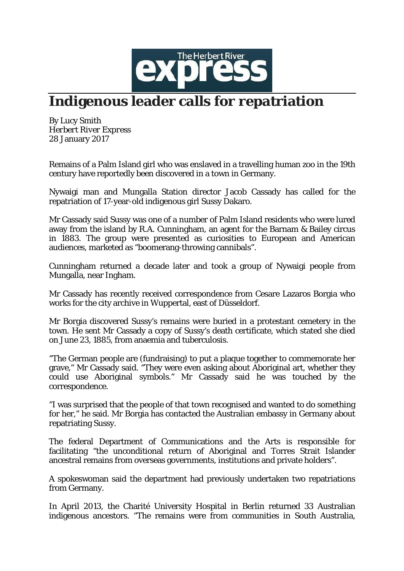

## **Indigenous leader calls for repatriation**

By Lucy Smith *Herbert River Express* 28 January 2017

Remains of a Palm Island girl who was enslaved in a travelling human zoo in the 19th century have reportedly been discovered in a town in Germany.

Nywaigi man and Mungalla Station director Jacob Cassady has called for the repatriation of 17-year-old indigenous girl Sussy Dakaro.

Mr Cassady said Sussy was one of a number of Palm Island residents who were lured away from the island by R.A. Cunningham, an agent for the Barnam & Bailey circus in 1883. The group were presented as curiosities to European and American audiences, marketed as "boomerang-throwing cannibals".

Cunningham returned a decade later and took a group of Nywaigi people from Mungalla, near Ingham.

Mr Cassady has recently received correspondence from Cesare Lazaros Borgia who works for the city archive in Wuppertal, east of Düsseldorf.

Mr Borgia discovered Sussy's remains were buried in a protestant cemetery in the town. He sent Mr Cassady a copy of Sussy's death certificate, which stated she died on June 23, 1885, from anaemia and tuberculosis.

"The German people are (fundraising) to put a plaque together to commemorate her grave," Mr Cassady said. "They were even asking about Aboriginal art, whether they could use Aboriginal symbols." Mr Cassady said he was touched by the correspondence.

"I was surprised that the people of that town recognised and wanted to do something for her," he said. Mr Borgia has contacted the Australian embassy in Germany about repatriating Sussy.

The federal Department of Communications and the Arts is responsible for facilitating "the unconditional return of Aboriginal and Torres Strait Islander ancestral remains from overseas governments, institutions and private holders".

A spokeswoman said the department had previously undertaken two repatriations from Germany.

In April 2013, the Charité University Hospital in Berlin returned 33 Australian indigenous ancestors. "The remains were from communities in South Australia,